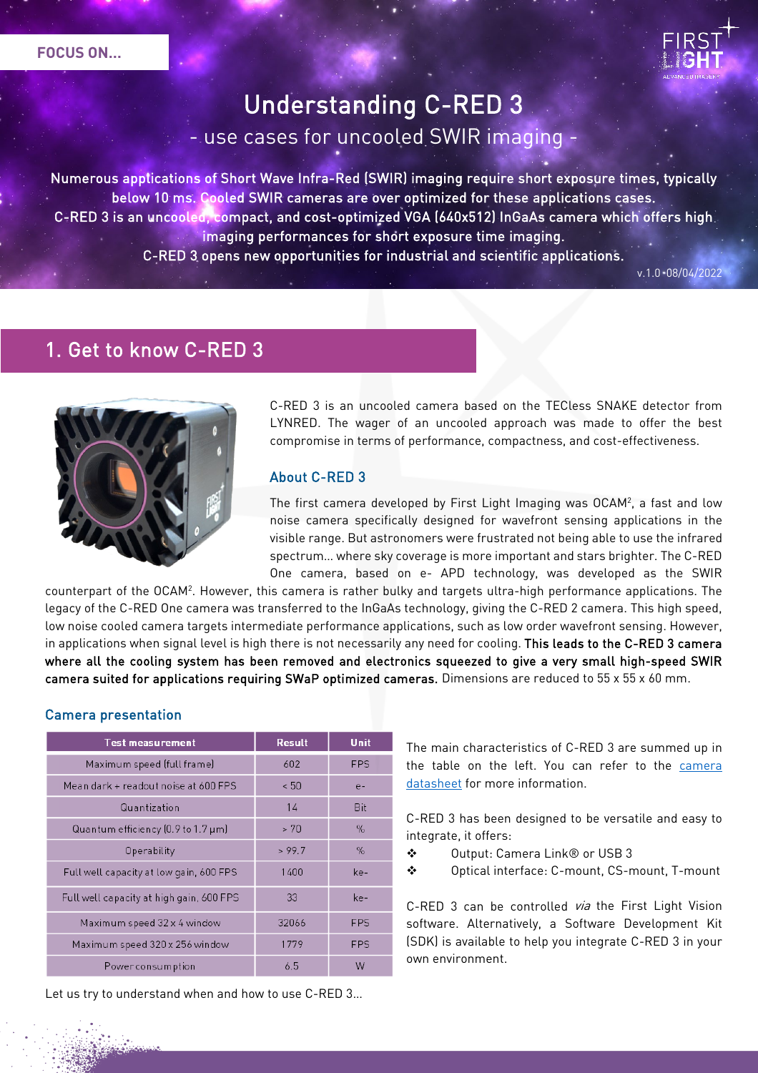

# Understanding C-RED 3

use cases for uncooled SWIR imaging -

Numerous applications of Short Wave Infra-Red (SWIR) imaging require short exposure times, typically below 10 ms. Cooled SWIR cameras are over optimized for these applications cases. C-RED 3 is an uncooled, compact, and cost-optimized VGA (640x512) InGaAs camera which offers high imaging performances for short exposure time imaging. C-RED 3 opens new opportunities for industrial and scientific applications.

ī

 $v.1.0 - 08/04/2022$ 

### 1. Get to know C-RED 3



Camera presentation

C-RED 3 is an uncooled camera based on the TECless SNAKE detector from LYNRED. The wager of an uncooled approach was made to offer the best compromise in terms of performance, compactness, and cost-effectiveness.

### About C-RED 3

The first camera developed by First Light Imaging was OCAM2, a fast and low noise camera specifically designed for wavefront sensing applications in the visible range. But astronomers were frustrated not being able to use the infrared spectrum… where sky coverage is more important and stars brighter. The C-RED One camera, based on e- APD technology, was developed as the SWIR

counterpart of the OCAM2. However, this camera is rather bulky and targets ultra-high performance applications. The legacy of the C-RED One camera was transferred to the InGaAs technology, giving the C-RED 2 camera. This high speed, low noise cooled camera targets intermediate performance applications, such as low order wavefront sensing. However, in applications when signal level is high there is not necessarily any need for cooling. This leads to the C-RED 3 camera where all the cooling system has been removed and electronics squeezed to give a very small high-speed SWIR camera suited for applications requiring SWaP optimized cameras. Dimensions are reduced to 55 x 55 x 60 mm.

| <b>Test measurement</b>                                 | <b>Result</b> | Unit       |
|---------------------------------------------------------|---------------|------------|
| Maximum speed (full frame)                              | 602           | <b>FPS</b> |
| Mean dark + readout noise at 600 FPS                    | ~< 50         | $e-$       |
| Quantization                                            | 14            | Bit        |
| Quantum efficiency $[0.9 \text{ to } 1.7 \mu \text{m}]$ | > 70          | $\%$       |
| Operability                                             | > 99.7        | $\%$       |
| Full well capacity at low gain, 600 FPS                 | 1400          | ke-        |
| Full well capacity at high gain, 600 FPS                | 33            | ke-        |
| Maximum speed 32 x 4 window                             | 32066         | <b>FPS</b> |
| Maximum speed 320 x 256 window                          | 1779          | <b>FPS</b> |
| Powerconsumption                                        | 6.5           | W          |

Let us try to understand when and how to use C-RED 3…

The main characteristics of C-RED 3 are summed up in the table on the left. You can refer to the [camera](https://www.first-light-imaging.com/wp-content/uploads/2019/02/Datasheet_C-RED-3_09.01.2020-1.pdf)  [datasheet](https://www.first-light-imaging.com/wp-content/uploads/2019/02/Datasheet_C-RED-3_09.01.2020-1.pdf) for more information.

C-RED 3 has been designed to be versatile and easy to integrate, it offers:

- Output: Camera Link® or USB 3
- Optical interface: C-mount, CS-mount, T-mount

C-RED 3 can be controlled via the First Light Vision software. Alternatively, a Software Development Kit (SDK) is available to help you integrate C-RED 3 in your own environment.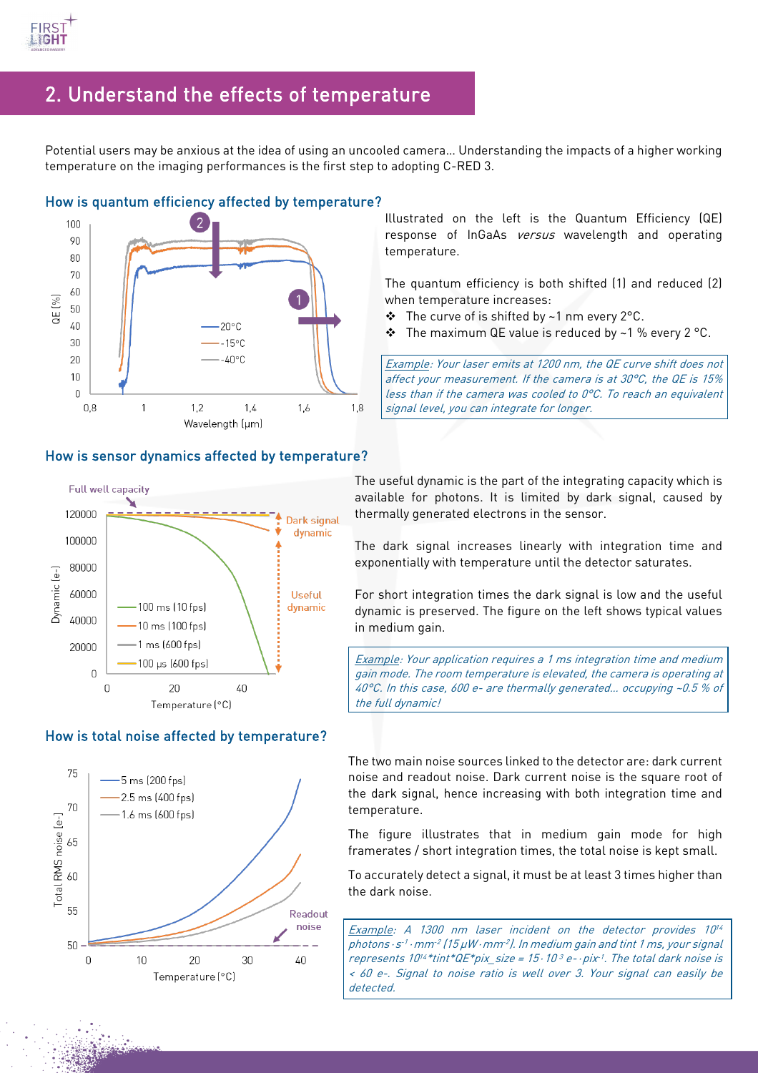

### 2. Understand the effects of temperature

Potential users may be anxious at the idea of using an uncooled camera… Understanding the impacts of a higher working temperature on the imaging performances is the first step to adopting C-RED 3.

 $\overline{a}$ 



#### How is sensor dynamics affected by temperature?

Full well capacity ↘ 120000 Dark signal dynamic 100000 80000  $\overline{e}$ Dynamic 60000 **Useful** 100 ms (10 fps) dynamic 40000 10 ms (100 fps) 1 ms (600 fps) 20000 100 µs (600 fps)  $\overline{0}$  $\overline{0}$  $20$ 40 Temperature (°C)

#### How is total noise affected by temperature?



Illustrated on the left is the Quantum Efficiency (QE) response of InGaAs versus wavelength and operating temperature.

The quantum efficiency is both shifted (1) and reduced (2) when temperature increases:

- $\div$  The curve of is shifted by ~1 nm every 2°C.
- $\cdot \cdot$  The maximum QE value is reduced by ~1 % every 2 °C.

Example: Your laser emits at 1200 nm, the QE curve shift does not affect your measurement. If the camera is at 30°C, the QE is 15% less than if the camera was cooled to 0°C. To reach an equivalent signal level, you can integrate for longer.

The useful dynamic is the part of the integrating capacity which is available for photons. It is limited by dark signal, caused by thermally generated electrons in the sensor.

The dark signal increases linearly with integration time and exponentially with temperature until the detector saturates.

For short integration times the dark signal is low and the useful dynamic is preserved. The figure on the left shows typical values in medium gain.

Example: Your application requires a 1 ms integration time and medium gain mode. The room temperature is elevated, the camera is operating at 40°C. In this case, 600 e- are thermally generated… occupying ~0.5 % of the full dynamic!

The two main noise sources linked to the detector are: dark current noise and readout noise. Dark current noise is the square root of the dark signal, hence increasing with both integration time and temperature.

The figure illustrates that in medium gain mode for high framerates / short integration times, the total noise is kept small.

To accurately detect a signal, it must be at least 3 times higher than the dark noise.

Example: A 1300 nm laser incident on the detector provides 10<sup>14</sup> photons⋅s<sup>-1</sup>⋅mm<sup>-2</sup> (15 µW⋅mm<sup>-2</sup>). In medium gain and tint 1 ms, your signal represents  $10^{14}$ \*tint\*QE\*pix\_size = 15⋅10 3 e-⋅pix $1$ . The total dark noise is < 60 e-. Signal to noise ratio is well over 3. Your signal can easily be detected.

## How is quantum efficiency affected by temperature?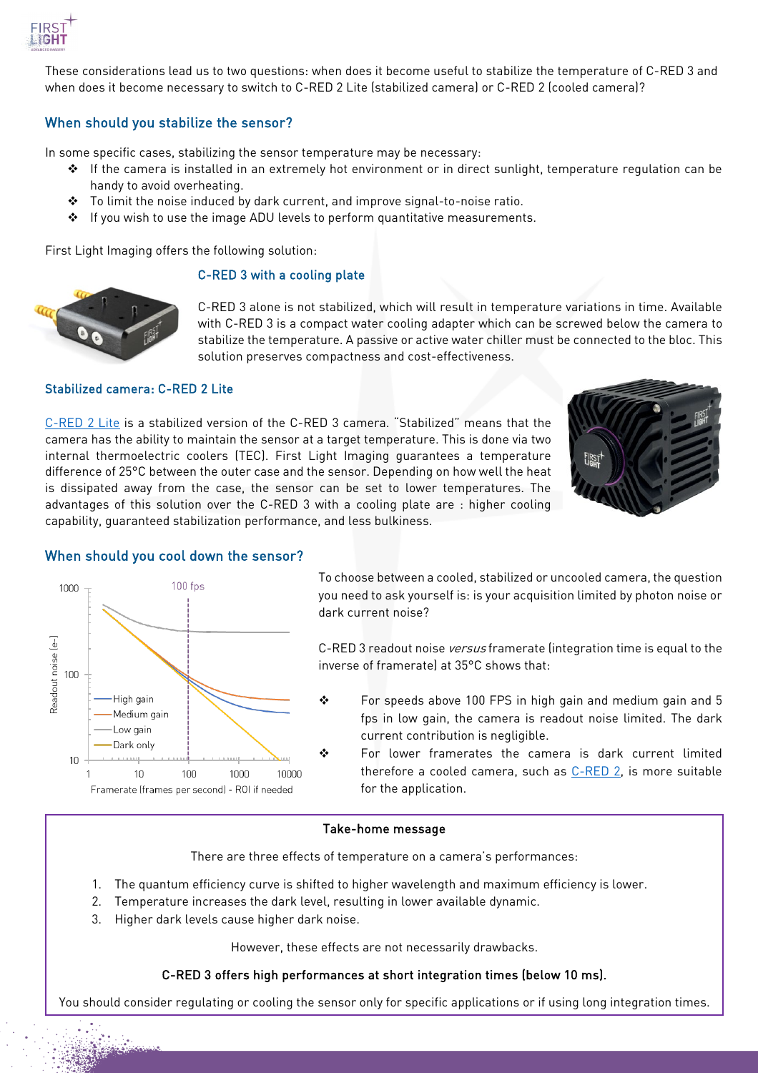

These considerations lead us to two questions: when does it become useful to stabilize the temperature of C-RED 3 and when does it become necessary to switch to C-RED 2 Lite (stabilized camera) or C-RED 2 (cooled camera)?

#### When should you stabilize the sensor?

In some specific cases, stabilizing the sensor temperature may be necessary:

- $\cdot \cdot$  If the camera is installed in an extremely hot environment or in direct sunlight, temperature regulation can be handy to avoid overheating.
- To limit the noise induced by dark current, and improve signal-to-noise ratio.
- $\div$  If you wish to use the image ADU levels to perform quantitative measurements.

First Light Imaging offers the following solution:

#### C-RED 3 with a cooling plate



C-RED 3 alone is not stabilized, which will result in temperature variations in time. Available with C-RED 3 is a compact water cooling adapter which can be screwed below the camera to stabilize the temperature. A passive or active water chiller must be connected to the bloc. This solution preserves compactness and cost-effectiveness.

#### Stabilized camera: C-RED 2 Lite

[C-RED 2 Lite](https://www.first-light-imaging.com/wp-content/uploads/2021/09/Datasheet_C-RED-2-LITE_11.03.2022.pdf) is a stabilized version of the C-RED 3 camera. "Stabilized" means that the camera has the ability to maintain the sensor at a target temperature. This is done via two internal thermoelectric coolers (TEC). First Light Imaging guarantees a temperature difference of 25°C between the outer case and the sensor. Depending on how well the heat is dissipated away from the case, the sensor can be set to lower temperatures. The advantages of this solution over the C-RED 3 with a cooling plate are : higher cooling capability, guaranteed stabilization performance, and less bulkiness.





#### When should you cool down the sensor?

To choose between a cooled, stabilized or uncooled camera, the question you need to ask yourself is: is your acquisition limited by photon noise or dark current noise?

C-RED 3 readout noise *versus* framerate (integration time is equal to the inverse of framerate) at 35°C shows that:

- $\cdot \cdot$  For speeds above 100 FPS in high gain and medium gain and 5 fps in low gain, the camera is readout noise limited. The dark current contribution is negligible.
- ◆ For lower framerates the camera is dark current limited therefore a cooled camera, such as  $C$ -RED 2, is more suitable for the application.

#### Take-home message

There are three effects of temperature on a camera's performances:

- 1. The quantum efficiency curve is shifted to higher wavelength and maximum efficiency is lower.
- 2. Temperature increases the dark level, resulting in lower available dynamic.
- 3. Higher dark levels cause higher dark noise.

However, these effects are not necessarily drawbacks.

#### C-RED 3 offers high performances at short integration times (below 10 ms).

You should consider regulating or cooling the sensor only for specific applications or if using long integration times.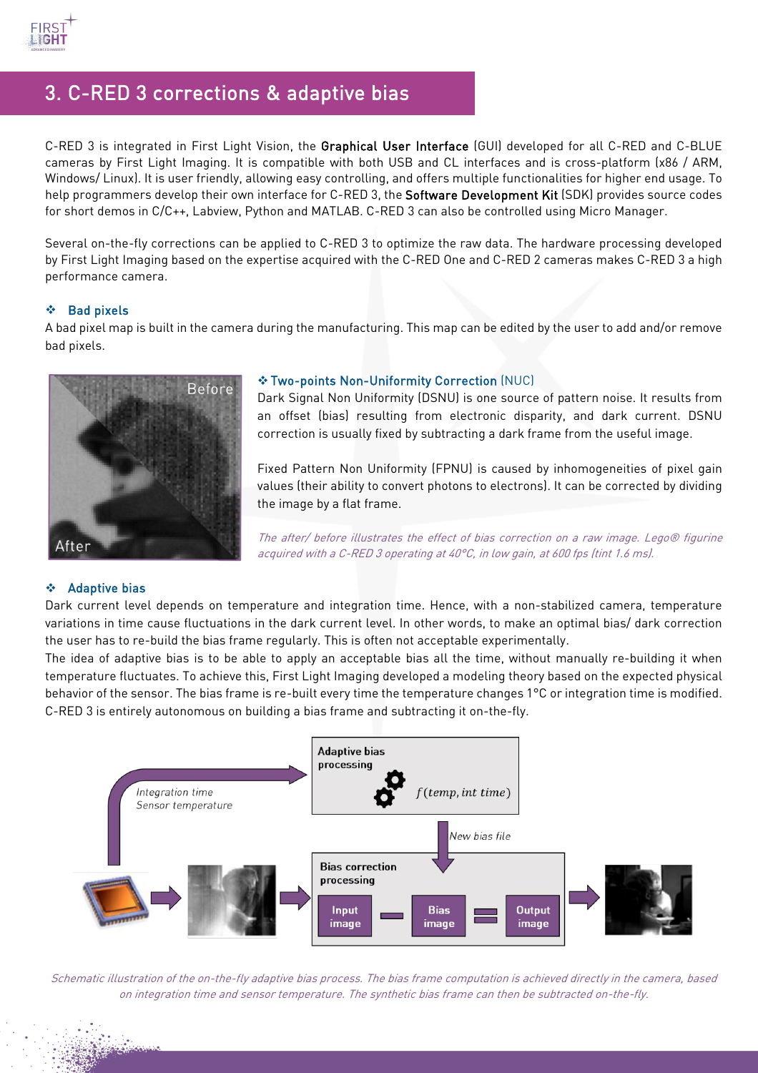

### 3. C-RED 3 corrections & adaptive bias

C-RED 3 is integrated in First Light Vision, the Graphical User Interface (GUI) developed for all C-RED and C-BLUE cameras by First Light Imaging. It is compatible with both USB and CL interfaces and is cross-platform (x86 / ARM, Windows/ Linux). It is user friendly, allowing easy controlling, and offers multiple functionalities for higher end usage. To help programmers develop their own interface for C-RED 3, the Software Development Kit (SDK) provides source codes for short demos in C/C++, Labview, Python and MATLAB. C-RED 3 can also be controlled using Micro Manager.

Several on-the-fly corrections can be applied to C-RED 3 to optimize the raw data. The hardware processing developed by First Light Imaging based on the expertise acquired with the C-RED One and C-RED 2 cameras makes C-RED 3 a high performance camera.

#### $\div$  Bad pixels

A bad pixel map is built in the camera during the manufacturing. This map can be edited by the user to add and/or remove bad pixels.



#### Two-points Non-Uniformity Correction (NUC)

Dark Signal Non Uniformity (DSNU) is one source of pattern noise. It results from an offset (bias) resulting from electronic disparity, and dark current. DSNU correction is usually fixed by subtracting a dark frame from the useful image.

Fixed Pattern Non Uniformity (FPNU) is caused by inhomogeneities of pixel gain values (their ability to convert photons to electrons). It can be corrected by dividing the image by a flat frame.

The after/ before illustrates the effect of bias correction on a raw image. Lego® figurine acquired with a C-RED 3 operating at 40°C, in low gain, at 600 fps (tint 1.6 ms).

#### Adaptive bias

Dark current level depends on temperature and integration time. Hence, with a non-stabilized camera, temperature variations in time cause fluctuations in the dark current level. In other words, to make an optimal bias/ dark correction the user has to re-build the bias frame regularly. This is often not acceptable experimentally.

The idea of adaptive bias is to be able to apply an acceptable bias all the time, without manually re-building it when temperature fluctuates. To achieve this, First Light Imaging developed a modeling theory based on the expected physical behavior of the sensor. The bias frame is re-built every time the temperature changes 1°C or integration time is modified. C-RED 3 is entirely autonomous on building a bias frame and subtracting it on-the-fly.



Schematic illustration of the on-the-fly adaptive bias process. The bias frame computation is achieved directly in the camera, based on integration time and sensor temperature. The synthetic bias frame can then be subtracted on-the-fly.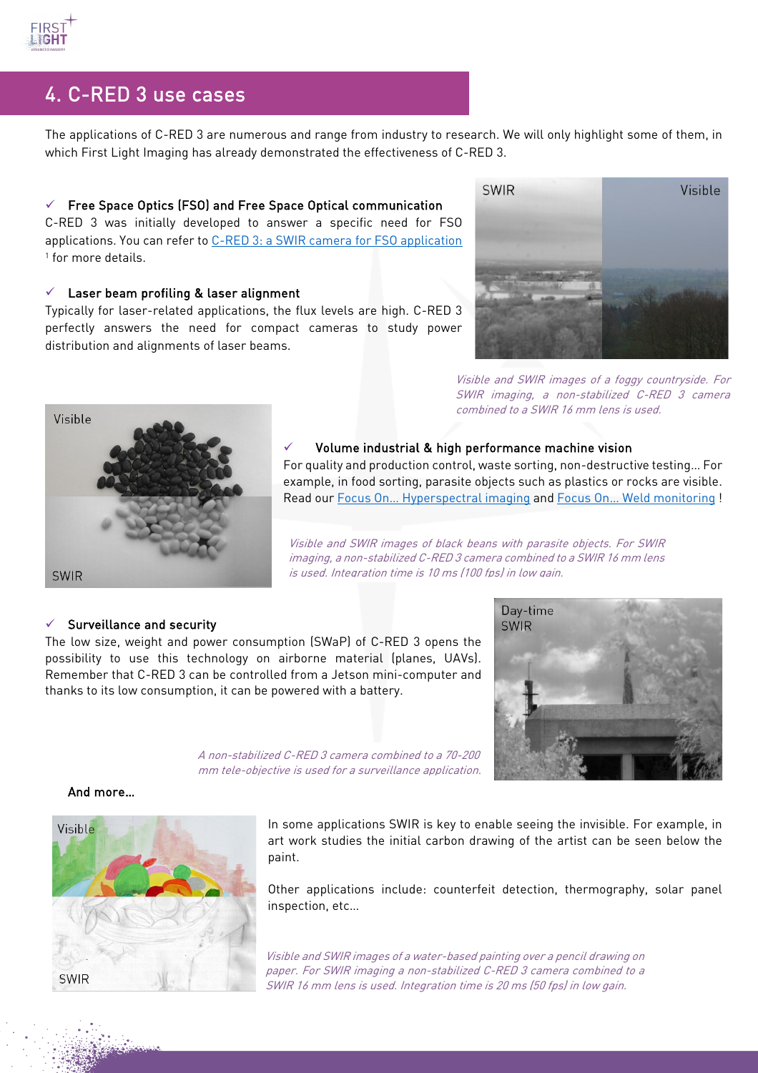

### 4. C-RED 3 use cases

The applications of C-RED 3 are numerous and range from industry to research. We will only highlight some of them, in which First Light Imaging has already demonstrated the effectiveness of C-RED 3.

#### $\checkmark$  Free Space Optics (FSO) and Free Space Optical communication

C-RED 3 was initially developed to answer a specific need for FSO applications. You can refer to [C-RED 3: a SWIR camera for FSO application](https://www.first-light-imaging.com/wp-content/uploads/2020/02/11272-14_GACH_PW2020_SPIE.pdf) <sup>1</sup> for more details.

#### Laser beam profiling & laser alignment

Typically for laser-related applications, the flux levels are high. C-RED 3 perfectly answers the need for compact cameras to study power distribution and alignments of laser beams.



Visible and SWIR images of a foggy countryside. For SWIR imaging, a non-stabilized C-RED 3 camera combined to a SWIR 16 mm lens is used.



#### Volume industrial & high performance machine vision

For quality and production control, waste sorting, non-destructive testing… For example, in food sorting, parasite objects such as plastics or rocks are visible. Read ou[r Focus On… Hyperspectral imaging](https://www.first-light-imaging.com/wp-content/uploads/2021/09/FOCUS_Hyperspectral_20210917.pdf) an[d Focus On… Weld monitoring](https://www.first-light-imaging.com/wp-content/uploads/2021/12/FOCUS_Metal_Additive_Manuf_v5_20211126.pdf) !

Visible and SWIR images of black beans with parasite objects. For SWIR imaging, a non-stabilized C-RED 3 camera combined to a SWIR 16 mm lens is used. Integration time is 10 ms (100 fps) in low gain.

#### $\checkmark$  Surveillance and security

The low size, weight and power consumption (SWaP) of C-RED 3 opens the possibility to use this technology on airborne material (planes, UAVs). Remember that C-RED 3 can be controlled from a Jetson mini-computer and thanks to its low consumption, it can be powered with a battery.



A non-stabilized C-RED 3 camera combined to a 70-200 mm tele-objective is used for a surveillance application.

#### And more…



In some applications SWIR is key to enable seeing the invisible. For example, in art work studies the initial carbon drawing of the artist can be seen below the paint.

Other applications include: counterfeit detection, thermography, solar panel inspection, etc…

Visible and SWIR images of a water-based painting over a pencil drawing on paper. For SWIR imaging a non-stabilized C-RED 3 camera combined to a SWIR 16 mm lens is used. Integration time is 20 ms (50 fps) in low gain.